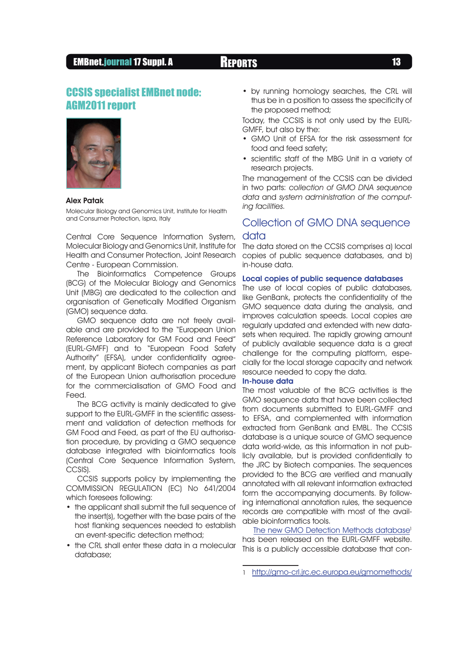## EMBnet.journal 17 Suppl. A Reports <sup>13</sup>

# CCSIS specialist EMBnet node: AGM2011 report



### Alex Patak

Molecular Biology and Genomics Unit, Institute for Health and Consumer Protection, Ispra, Italy

Central Core Sequence Information System, Molecular Biology and Genomics Unit, Institute for Health and Consumer Protection, Joint Research Centre - European Commission.

The Bioinformatics Competence Groups (BCG) of the Molecular Biology and Genomics Unit (MBG) are dedicated to the collection and organisation of Genetically Modified Organism (GMO) sequence data.

GMO sequence data are not freely available and are provided to the "European Union Reference Laboratory for GM Food and Feed" (EURL-GMFF) and to "European Food Safety Authority" (EFSA), under confidentiality agreement, by applicant Biotech companies as part of the European Union authorisation procedure for the commercialisation of GMO Food and Feed.

The BCG activity is mainly dedicated to give support to the EURL-GMFF in the scientific assessment and validation of detection methods for GM Food and Feed, as part of the EU authorisation procedure, by providing a GMO sequence database integrated with bioinformatics tools (Central Core Sequence Information System, CCSIS).

CCSIS supports policy by implementing the COMMISSION REGULATION (EC) No 641/2004 which foresees following:

- the applicant shall submit the full sequence of the insert(s), together with the base pairs of the host flanking sequences needed to establish an event-specific detection method;
- the CRL shall enter these data in a molecular database;

• by running homology searches, the CRL will thus be in a position to assess the specificity of the proposed method;

Today, the CCSIS is not only used by the EURL-GMFF, but also by the:

- • GMO Unit of EFSA for the risk assessment for food and feed safety;
- scientific staff of the MBG Unit in a variety of research projects.

The management of the CCSIS can be divided in two parts: collection of GMO DNA sequence data and system administration of the computing facilities.

## Collection of GMO DNA sequence

## data

The data stored on the CCSIS comprises a) local copies of public sequence databases, and b) in-house data.

## Local copies of public sequence databases

The use of local copies of public databases, like GenBank, protects the confidentiality of the GMO sequence data during the analysis, and improves calculation speeds. Local copies are regularly updated and extended with new datasets when required. The rapidly growing amount of publicly available sequence data is a great challenge for the computing platform, especially for the local storage capacity and network resource needed to copy the data.

#### In-house data

The most valuable of the BCG activities is the GMO sequence data that have been collected from documents submitted to EURL-GMFF and to EFSA, and complemented with information extracted from GenBank and EMBL. The CCSIS database is a unique source of GMO sequence data world-wide, as this information in not publicly available, but is provided confidentially to the JRC by Biotech companies. The sequences provided to the BCG are verified and manually annotated with all relevant information extracted form the accompanying documents. By following international annotation rules, the sequence records are compatible with most of the available bioinformatics tools.

The new GMO Detection Methods database<sup>1</sup> has been released on the EURL-GMFF website. This is a publicly accessible database that con-

<sup>1</sup> <http://gmo-crl.jrc.ec.europa.eu/gmomethods/>